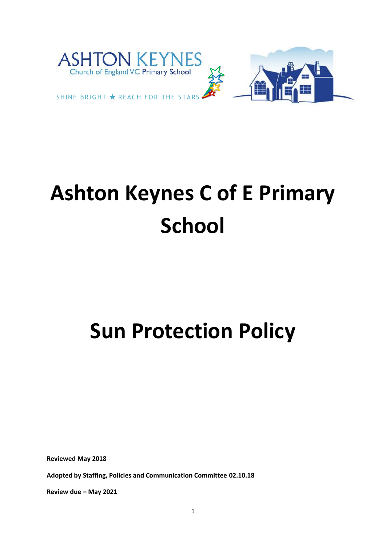

# **Ashton Keynes C of E Primary School**

# **Sun Protection Policy**

**Reviewed May 2018**

**Adopted by Staffing, Policies and Communication Committee 02.10.18**

**Review due – May 2021**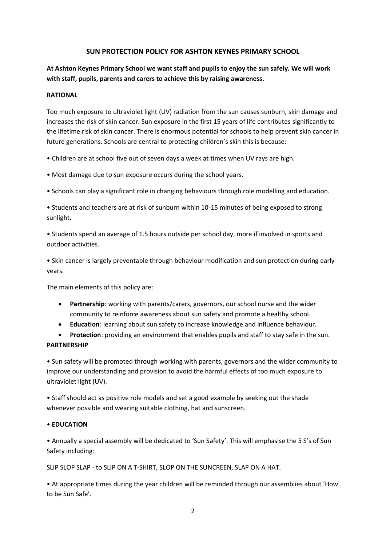# **SUN PROTECTION POLICY FOR ASHTON KEYNES PRIMARY SCHOOL**

**At Ashton Keynes Primary School we want staff and pupils to enjoy the sun safely. We will work with staff, pupils, parents and carers to achieve this by raising awareness.**

#### **RATIONAL**

Too much exposure to ultraviolet light (UV) radiation from the sun causes sunburn, skin damage and increases the risk of skin cancer. Sun exposure in the first 15 years of life contributes significantly to the lifetime risk of skin cancer. There is enormous potential for schools to help prevent skin cancer in future generations. Schools are central to protecting children's skin this is because:

• Children are at school five out of seven days a week at times when UV rays are high.

- Most damage due to sun exposure occurs during the school years.
- Schools can play a significant role in changing behaviours through role modelling and education.

• Students and teachers are at risk of sunburn within 10-15 minutes of being exposed to strong sunlight.

• Students spend an average of 1.5 hours outside per school day, more if involved in sports and outdoor activities.

• Skin cancer is largely preventable through behaviour modification and sun protection during early years.

The main elements of this policy are:

- **Partnership**: working with parents/carers, governors, our school nurse and the wider community to reinforce awareness about sun safety and promote a healthy school.
- **Education**: learning about sun safety to increase knowledge and influence behaviour.

• **Protection**: providing an environment that enables pupils and staff to stay safe in the sun.

# **PARTNERSHIP**

• Sun safety will be promoted through working with parents, governors and the wider community to improve our understanding and provision to avoid the harmful effects of too much exposure to ultraviolet light (UV).

• Staff should act as positive role models and set a good example by seeking out the shade whenever possible and wearing suitable clothing, hat and sunscreen.

# • **EDUCATION**

• Annually a special assembly will be dedicated to 'Sun Safety'. This will emphasise the 5 S's of Sun Safety including:

SLIP SLOP SLAP - to SLIP ON A T-SHIRT, SLOP ON THE SUNCREEN, SLAP ON A HAT.

• At appropriate times during the year children will be reminded through our assemblies about 'How to be Sun Safe'.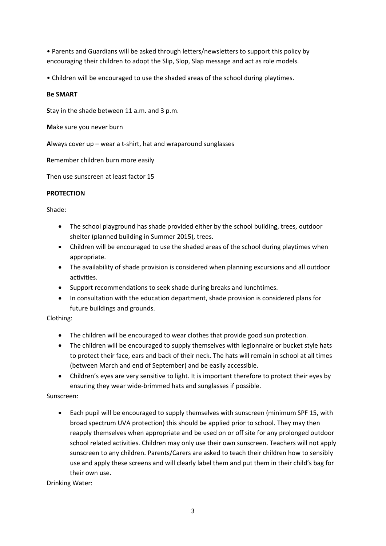• Parents and Guardians will be asked through letters/newsletters to support this policy by encouraging their children to adopt the Slip, Slop, Slap message and act as role models.

• Children will be encouraged to use the shaded areas of the school during playtimes.

#### **Be SMART**

**S**tay in the shade between 11 a.m. and 3 p.m.

**M**ake sure you never burn

**A**lways cover up – wear a t-shirt, hat and wraparound sunglasses

**R**emember children burn more easily

**T**hen use sunscreen at least factor 15

#### **PROTECTION**

#### Shade:

- The school playground has shade provided either by the school building, trees, outdoor shelter (planned building in Summer 2015), trees.
- Children will be encouraged to use the shaded areas of the school during playtimes when appropriate.
- The availability of shade provision is considered when planning excursions and all outdoor activities.
- Support recommendations to seek shade during breaks and lunchtimes.
- In consultation with the education department, shade provision is considered plans for future buildings and grounds.

# Clothing:

- The children will be encouraged to wear clothes that provide good sun protection.
- The children will be encouraged to supply themselves with legionnaire or bucket style hats to protect their face, ears and back of their neck. The hats will remain in school at all times (between March and end of September) and be easily accessible.
- Children's eyes are very sensitive to light. It is important therefore to protect their eyes by ensuring they wear wide-brimmed hats and sunglasses if possible.

# Sunscreen:

• Each pupil will be encouraged to supply themselves with sunscreen (minimum SPF 15, with broad spectrum UVA protection) this should be applied prior to school. They may then reapply themselves when appropriate and be used on or off site for any prolonged outdoor school related activities. Children may only use their own sunscreen. Teachers will not apply sunscreen to any children. Parents/Carers are asked to teach their children how to sensibly use and apply these screens and will clearly label them and put them in their child's bag for their own use.

Drinking Water: